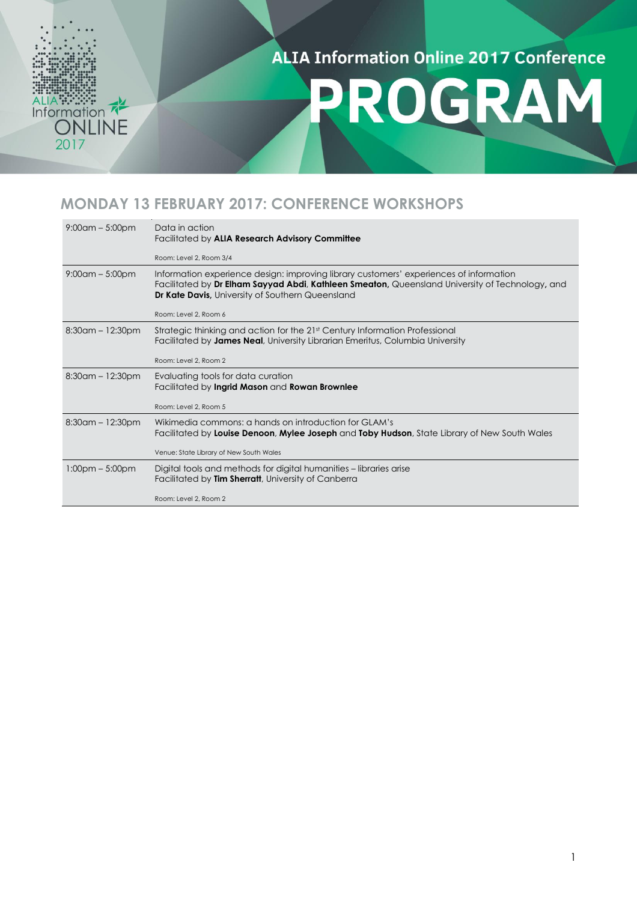### Information 2017

#### **ALIA Information Online 2017 Conference**

## PROGRAM

#### **MONDAY 13 FEBRUARY 2017: CONFERENCE WORKSHOPS**

| $9:00$ am – 5:00pm                | Data in action<br>Facilitated by ALIA Research Advisory Committee<br>Room: Level 2, Room 3/4                                                                                                                                                         |
|-----------------------------------|------------------------------------------------------------------------------------------------------------------------------------------------------------------------------------------------------------------------------------------------------|
| $9:00$ am – 5:00pm                | Information experience design: improving library customers' experiences of information<br>Facilitated by Dr Elham Sayyad Abdi, Kathleen Smeaton, Queensland University of Technology, and<br><b>Dr Kate Davis, University of Southern Queensland</b> |
|                                   | Room: Level 2, Room 6                                                                                                                                                                                                                                |
| $8:30$ am – 12:30pm               | Strategic thinking and action for the 21st Century Information Professional<br>Facilitated by James Neal, University Librarian Emeritus, Columbia University                                                                                         |
|                                   | Room: Level 2, Room 2                                                                                                                                                                                                                                |
| $8:30$ am – 12:30pm               | Evaluating tools for data curation<br>Facilitated by Ingrid Mason and Rowan Brownlee                                                                                                                                                                 |
|                                   | Room: Level 2, Room 5                                                                                                                                                                                                                                |
| $8:30$ am – 12:30pm               | Wikimedia commons: a hands on introduction for GLAM's<br>Facilitated by Louise Denoon, Mylee Joseph and Toby Hudson, State Library of New South Wales                                                                                                |
|                                   | Venue: State Library of New South Wales                                                                                                                                                                                                              |
| $1:00 \text{pm} - 5:00 \text{pm}$ | Digital tools and methods for digital humanities – libraries arise<br>Facilitated by Tim Sherratt, University of Canberra                                                                                                                            |
|                                   | Room: Level 2, Room 2                                                                                                                                                                                                                                |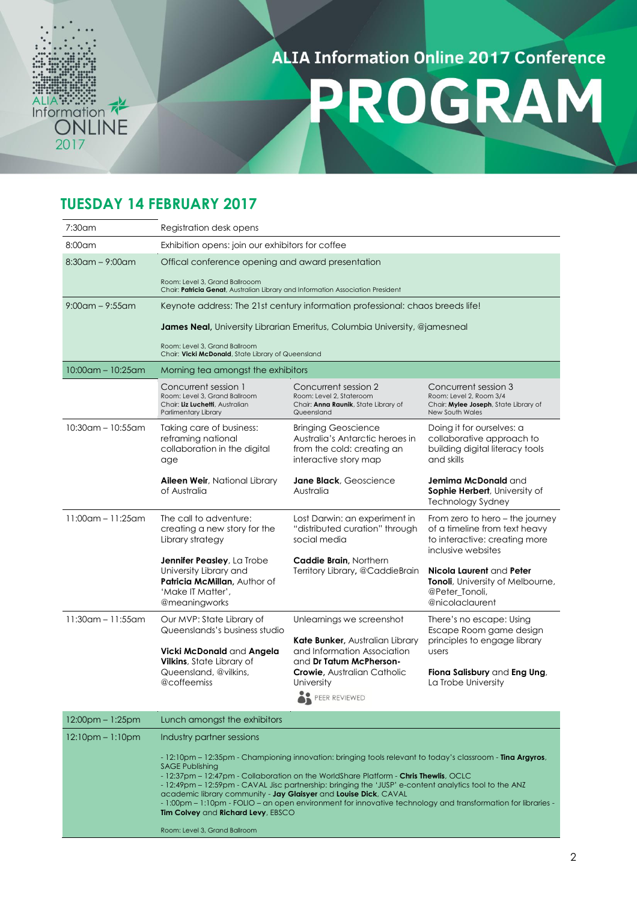### 2017

#### **ALIA Information Online 2017 Conference**

## PROGRAM

#### **TUESDAY 14 FEBRUARY 2017**

| $7:30$ am               | Registration desk opens                                                                                                                                                                                                                             |                                                                                                                                                                     |                                                                                                                                             |  |
|-------------------------|-----------------------------------------------------------------------------------------------------------------------------------------------------------------------------------------------------------------------------------------------------|---------------------------------------------------------------------------------------------------------------------------------------------------------------------|---------------------------------------------------------------------------------------------------------------------------------------------|--|
| $8:00$ am               | Exhibition opens: join our exhibitors for coffee                                                                                                                                                                                                    |                                                                                                                                                                     |                                                                                                                                             |  |
| $8:30$ am – 9:00am      | Offical conference opening and award presentation<br>Room: Level 3, Grand Ballrooom<br>Chair: Patricia Genat, Australian Library and Information Association President                                                                              |                                                                                                                                                                     |                                                                                                                                             |  |
| $9:00$ am – $9:55$ am   | Keynote address: The 21st century information professional: chaos breeds life!<br>James Neal, University Librarian Emeritus, Columbia University, @jamesneal<br>Room: Level 3, Grand Ballroom<br>Chair: Vicki McDonald, State Library of Queensland |                                                                                                                                                                     |                                                                                                                                             |  |
| $10:00$ am - $10:25$ am | Morning tea amongst the exhibitors                                                                                                                                                                                                                  |                                                                                                                                                                     |                                                                                                                                             |  |
|                         | Concurrent session 1<br>Room: Level 3, Grand Ballroom<br>Chair: Liz Luchetti, Australian<br>Parlimentary Library                                                                                                                                    | Concurrent session 2<br>Room: Level 2, Stateroom<br>Chair: <b>Anna Raunik</b> , State Library of<br>Queensland                                                      | Concurrent session 3<br>Room: Level 2, Room 3/4<br>Chair: Mylee Joseph, State Library of<br><b>New South Wales</b>                          |  |
| $10:30$ am - $10:55$ am | Taking care of business:<br>reframing national<br>collaboration in the digital<br>age                                                                                                                                                               | <b>Bringing Geoscience</b><br>Australia's Antarctic heroes in<br>from the cold: creating an<br>interactive story map                                                | Doing it for ourselves: a<br>collaborative approach to<br>building digital literacy tools<br>and skills                                     |  |
|                         | Aileen Weir, National Library<br>of Australia                                                                                                                                                                                                       | Jane Black, Geoscience<br>Australia                                                                                                                                 | <b>Jemima McDonald</b> and<br>Sophie Herbert, University of<br><b>Technology Sydney</b>                                                     |  |
| $11:00$ am - 11:25am    | The call to adventure:<br>creating a new story for the<br>Library strategy                                                                                                                                                                          | Lost Darwin: an experiment in<br>"distributed curation" through<br>social media                                                                                     | From zero to hero – the journey<br>of a timeline from text heavy<br>to interactive: creating more<br>inclusive websites                     |  |
|                         | <b>Jennifer Peasley</b> , La Trobe<br>University Library and<br><b>Patricia McMillan.</b> Author of<br>'Make IT Matter',<br>@meaningworks                                                                                                           | <b>Caddie Brain, Northern</b><br>Territory Library, @CaddieBrain                                                                                                    | Nicola Laurent and Peter<br>Tonoli, University of Melbourne,<br>@Peter Tonoli,<br>@nicolaclaurent                                           |  |
| $11:30$ am - 11:55am    | Our MVP: State Library of<br>Queenslands's business studio<br>Vicki McDonald and Angela<br>Vilkins, State Library of<br>Queensland, @vilkins,                                                                                                       | Unlearnings we screenshot<br><b>Kate Bunker, Australian Library</b><br>and Information Association<br>and Dr Tatum McPherson-<br><b>Crowie, Australian Catholic</b> | There's no escape: Using<br>Escape Room game design<br>principles to engage library<br>users<br><b>Fiona Salisbury</b> and <b>Eng Ung</b> , |  |
|                         | @coffeemiss                                                                                                                                                                                                                                         | University<br>PEER REVIEWED                                                                                                                                         | La Trobe University                                                                                                                         |  |

| 12:00pm – 1:25pm       | Lunch amongst the exhibitors                                                                                                                                                                                                                                                                                                                                                                                                                                                                                                                                                                             |
|------------------------|----------------------------------------------------------------------------------------------------------------------------------------------------------------------------------------------------------------------------------------------------------------------------------------------------------------------------------------------------------------------------------------------------------------------------------------------------------------------------------------------------------------------------------------------------------------------------------------------------------|
| $12:10$ pm – $1:10$ pm | Industry partner sessions                                                                                                                                                                                                                                                                                                                                                                                                                                                                                                                                                                                |
|                        | - 12:10pm – 12:35pm - Championing innovation: bringing tools relevant to today's classroom - <b>Tina Argyros</b> ,<br><b>SAGE Publishing</b><br>- 12:37pm – 12:47pm - Collaboration on the WorldShare Platform - Chris Thewlis, OCLC<br>- 12:49pm – 12:59pm - CAVAL Jisc partnership: bringing the 'JUSP' e-content analytics tool to the ANZ<br>academic library community - Jay Glaisyer and Louise Dick, CAVAL<br>- 1:00pm – 1:10pm - FOLIO – an open environment for innovative technology and transformation for libraries -<br>Tim Colvey and Richard Levy, EBSCO<br>Room: Level 3, Grand Ballroom |
|                        |                                                                                                                                                                                                                                                                                                                                                                                                                                                                                                                                                                                                          |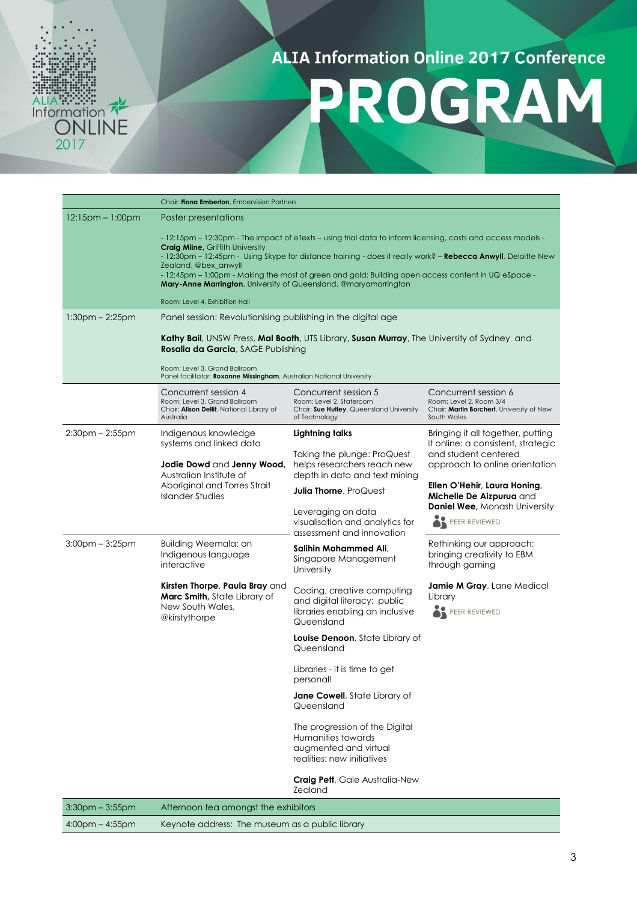## PROGRAM

|                        | Chair: Fiona Emberton, Embervision Partners                                                                                                                                                                                                                                                                                                                                                                                                                                                                                   |                                                                                                               |                                                                                                             |  |
|------------------------|-------------------------------------------------------------------------------------------------------------------------------------------------------------------------------------------------------------------------------------------------------------------------------------------------------------------------------------------------------------------------------------------------------------------------------------------------------------------------------------------------------------------------------|---------------------------------------------------------------------------------------------------------------|-------------------------------------------------------------------------------------------------------------|--|
| $12:15$ pm – $1:00$ pm | Poster presentations                                                                                                                                                                                                                                                                                                                                                                                                                                                                                                          |                                                                                                               |                                                                                                             |  |
|                        | - 12:15pm – 12:30pm - The impact of eTexts – using trial data to inform licensing, costs and access models -<br><b>Craig Milne, Griffith University</b><br>- 12:30pm – 12:45pm - Using Skype for distance training - does it really work? – <b>Rebecca Anwyll</b> , Deloitte New<br>Zealand, @bex_anwyll<br>- 12:45pm – 1:00pm - Making the most of green and gold: Building open access content in UQ eSpace -<br><b>Mary-Anne Marrington</b> , University of Queensland, @maryamarrington<br>Room: Level 4, Exhibition Hall |                                                                                                               |                                                                                                             |  |
| $1:30$ pm – 2:25pm     | Panel session: Revolutionising publishing in the digital age                                                                                                                                                                                                                                                                                                                                                                                                                                                                  |                                                                                                               |                                                                                                             |  |
|                        | Kathy Bail, UNSW Press, Mal Booth, UTS Library, Susan Murray, The University of Sydney and<br>Rosalia da Garcia, SAGE Publishing<br>Room: Level 3, Grand Ballroom<br>Panel facilitator: Roxanne Missingham, Australian National University                                                                                                                                                                                                                                                                                    |                                                                                                               |                                                                                                             |  |
|                        | Concurrent session 4<br>Room: Level 3, Grand Ballroom<br>Chair: Alison Dellit, National Library of<br>Australia                                                                                                                                                                                                                                                                                                                                                                                                               | Concurrent session 5<br>Room: Level 2, Stateroom<br>Chair: Sue Hutley, Queensland University<br>of Technology | Concurrent session 6<br>Room: Level 2, Room 3/4<br>Chair: Martin Borchert, University of New<br>South Wales |  |
| $2:30$ pm – $2:55$ pm  | Indigenous knowledge                                                                                                                                                                                                                                                                                                                                                                                                                                                                                                          | Lightning talks                                                                                               | Bringing it all together, putting                                                                           |  |
|                        | systems and linked data<br>Jodie Dowd and Jenny Wood,<br>Australian Institute of<br>Aboriginal and Torres Strait<br>Islander Studies                                                                                                                                                                                                                                                                                                                                                                                          | Taking the plunge: ProQuest<br>helps researchers reach new<br>depth in data and text mining                   | it online: a consistent, strategic<br>and student centered<br>approach to online orientation                |  |
|                        |                                                                                                                                                                                                                                                                                                                                                                                                                                                                                                                               | <b>Julia Thorne, ProQuest</b>                                                                                 | Ellen O'Hehir, Laura Honing,                                                                                |  |
|                        |                                                                                                                                                                                                                                                                                                                                                                                                                                                                                                                               | Leveraging on data<br>visualisation and analytics for<br>assessment and innovation                            | Michelle De Aizpurua and<br><b>Daniel Wee, Monash University</b><br>PEER REVIEWED                           |  |
| $3:00$ pm $-3:25$ pm   | Building Weemala: an<br>Indigenous language<br>interactive                                                                                                                                                                                                                                                                                                                                                                                                                                                                    | Salihin Mohammed Ali,<br>Singapore Management<br>University                                                   | Rethinking our approach:<br>bringing creativity to EBM<br>through gaming                                    |  |
|                        | Kirsten Thorpe, Paula Bray and<br>Marc Smith, State Library of<br>New South Wales,<br>@kirstythorpe                                                                                                                                                                                                                                                                                                                                                                                                                           | Coding, creative computing<br>and digital literacy: public<br>libraries enabling an inclusive<br>Queensland   | Jamie M Gray, Lane Medical<br>Library<br>PEER REVIEWED                                                      |  |
|                        |                                                                                                                                                                                                                                                                                                                                                                                                                                                                                                                               | Louise Denoon, State Library of<br>Queensland                                                                 |                                                                                                             |  |
|                        |                                                                                                                                                                                                                                                                                                                                                                                                                                                                                                                               | Libraries - it is time to get<br>personal!                                                                    |                                                                                                             |  |
|                        |                                                                                                                                                                                                                                                                                                                                                                                                                                                                                                                               | <b>Jane Cowell</b> , State Library of<br>Queensland                                                           |                                                                                                             |  |
|                        |                                                                                                                                                                                                                                                                                                                                                                                                                                                                                                                               | The progression of the Digital<br>Humanities towards<br>augmented and virtual<br>realities: new initiatives   |                                                                                                             |  |
|                        |                                                                                                                                                                                                                                                                                                                                                                                                                                                                                                                               | Craig Pett, Gale Australia-New<br><b>Zealand</b>                                                              |                                                                                                             |  |
| $3:30$ pm $-3:55$ pm   | Afternoon tea amongst the exhibitors                                                                                                                                                                                                                                                                                                                                                                                                                                                                                          |                                                                                                               |                                                                                                             |  |
| $4:00$ pm $- 4:55$ pm  | Keynote address: The museum as a public library                                                                                                                                                                                                                                                                                                                                                                                                                                                                               |                                                                                                               |                                                                                                             |  |

ALIA ::::::::<br>Information<br>ONLINE<br>2017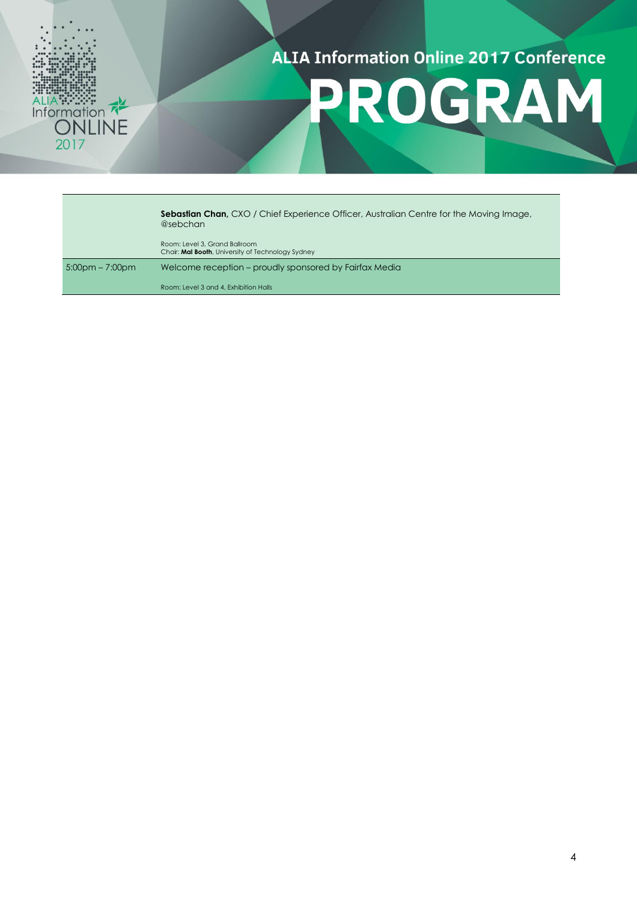

## PROGRAM

|                    | <b>Sebastian Chan, CXO / Chief Experience Officer, Australian Centre for the Moving Image,</b><br>@sebchan |
|--------------------|------------------------------------------------------------------------------------------------------------|
|                    | Room: Level 3, Grand Ballroom<br>Chair: Mal Booth, University of Technology Sydney                         |
| $5:00$ pm – 7:00pm | Welcome reception – proudly sponsored by Fairfax Media                                                     |
|                    | Room: Level 3 and 4, Exhibition Halls                                                                      |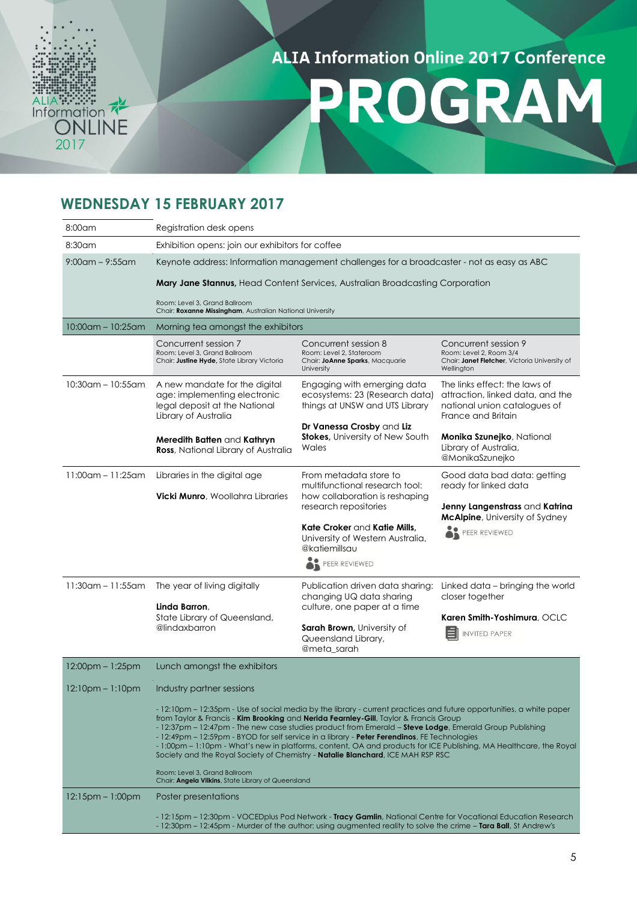

## PROGRAM

#### **WEDNESDAY 15 FEBRUARY 2017**

| 8:00am                  | Registration desk opens                                                                                                                                                                                                                                                                                                                                                                                                                                                                                                                  |                                                                                                                                                                                                                                  |                                                                                                                         |  |
|-------------------------|------------------------------------------------------------------------------------------------------------------------------------------------------------------------------------------------------------------------------------------------------------------------------------------------------------------------------------------------------------------------------------------------------------------------------------------------------------------------------------------------------------------------------------------|----------------------------------------------------------------------------------------------------------------------------------------------------------------------------------------------------------------------------------|-------------------------------------------------------------------------------------------------------------------------|--|
| 8:30am                  | Exhibition opens: join our exhibitors for coffee                                                                                                                                                                                                                                                                                                                                                                                                                                                                                         |                                                                                                                                                                                                                                  |                                                                                                                         |  |
| $9:00$ am – $9:55$ am   | Keynote address: Information management challenges for a broadcaster - not as easy as ABC                                                                                                                                                                                                                                                                                                                                                                                                                                                |                                                                                                                                                                                                                                  |                                                                                                                         |  |
|                         | <b>Mary Jane Stannus, Head Content Services, Australian Broadcasting Corporation</b>                                                                                                                                                                                                                                                                                                                                                                                                                                                     |                                                                                                                                                                                                                                  |                                                                                                                         |  |
|                         | Room: Level 3, Grand Ballroom<br>Chair: Roxanne Missingham, Australian National University                                                                                                                                                                                                                                                                                                                                                                                                                                               |                                                                                                                                                                                                                                  |                                                                                                                         |  |
| $10:00$ am - $10:25$ am | Morning tea amongst the exhibitors                                                                                                                                                                                                                                                                                                                                                                                                                                                                                                       |                                                                                                                                                                                                                                  |                                                                                                                         |  |
|                         | Concurrent session 7<br>Room: Level 3, Grand Ballroom<br>Chair: Justine Hyde, State Library Victoria                                                                                                                                                                                                                                                                                                                                                                                                                                     | Concurrent session 8<br>Room: Level 2, Stateroom<br>Chair: JoAnne Sparks, Macquarie<br>University                                                                                                                                | Concurrent session 9<br>Room: Level 2, Room 3/4<br>Chair: Janet Fletcher, Victoria University of<br>Wellington          |  |
| $10:30$ am - $10:55$ am | A new mandate for the digital<br>age: implementing electronic<br>legal deposit at the National<br>Library of Australia                                                                                                                                                                                                                                                                                                                                                                                                                   | Engaging with emerging data<br>ecosystems: 23 (Research data)<br>things at UNSW and UTS Library                                                                                                                                  | The links effect: the laws of<br>attraction, linked data, and the<br>national union catalogues of<br>France and Britain |  |
|                         | Meredith Batten and Kathryn<br><b>Ross</b> , National Library of Australia                                                                                                                                                                                                                                                                                                                                                                                                                                                               | Dr Vanessa Crosby and Liz<br><b>Stokes, University of New South</b><br>Wales                                                                                                                                                     | Monika Szunejko, National<br>Library of Australia,<br>@MonikaSzunejko                                                   |  |
| $11:00$ am - 11:25am    | Libraries in the digital age                                                                                                                                                                                                                                                                                                                                                                                                                                                                                                             | From metadata store to<br>multifunctional research tool:                                                                                                                                                                         | Good data bad data: getting<br>ready for linked data                                                                    |  |
|                         | <b>Vicki Munro, Woollahra Libraries</b>                                                                                                                                                                                                                                                                                                                                                                                                                                                                                                  | how collaboration is reshaping<br>research repositories                                                                                                                                                                          | Jenny Langenstrass and Katrina<br><b>McAlpine</b> , University of Sydney                                                |  |
|                         |                                                                                                                                                                                                                                                                                                                                                                                                                                                                                                                                          | Kate Croker and Katie Mills,<br>University of Western Australia,<br>@katiemillsau<br>PEER REVIEWED                                                                                                                               | PEER REVIEWED                                                                                                           |  |
| $11:30$ am - 11:55am    | The year of living digitally<br>Linda Barron,                                                                                                                                                                                                                                                                                                                                                                                                                                                                                            | Publication driven data sharing:<br>changing UQ data sharing<br>culture, one paper at a time                                                                                                                                     | Linked data – bringing the world<br>closer together                                                                     |  |
|                         | State Library of Queensland,<br>@lindaxbarron                                                                                                                                                                                                                                                                                                                                                                                                                                                                                            | <b>Sarah Brown</b> , University of<br>Queensland Library,<br>@meta_sarah                                                                                                                                                         | Karen Smith-Yoshimura, OCLC<br><b>INVITED PAPER</b>                                                                     |  |
| 12:00pm - 1:25pm        | Lunch amongst the exhibitors                                                                                                                                                                                                                                                                                                                                                                                                                                                                                                             |                                                                                                                                                                                                                                  |                                                                                                                         |  |
| $12:10pm - 1:10pm$      | Industry partner sessions<br>- 12:10pm – 12:35pm - Use of social media by the library - current practices and future opportunities, a white paper                                                                                                                                                                                                                                                                                                                                                                                        |                                                                                                                                                                                                                                  |                                                                                                                         |  |
|                         | from Taylor & Francis - <b>Kim Brooking</b> and <b>Nerida Fearnley-Gill</b> , Taylor & Francis Group<br>- 12:37pm - 12:47pm - The new case studies product from Emerald - Steve Lodge, Emerald Group Publishing<br>- 12:49pm – 12:59pm - BYOD for self service in a library - <b>Peter Ferendinos</b> , FE Technologies<br>- 1:00pm – 1:10pm - What's new in platforms, content, OA and products for ICE Publishing, MA Healthcare, the Royal<br>Society and the Royal Society of Chemistry - <b>Natalie Blanchard</b> , ICE MAH RSP RSC |                                                                                                                                                                                                                                  |                                                                                                                         |  |
|                         | Room: Level 3, Grand Ballroom<br>Chair: Angela Vilkins, State Library of Queensland                                                                                                                                                                                                                                                                                                                                                                                                                                                      |                                                                                                                                                                                                                                  |                                                                                                                         |  |
| $12:15$ pm – 1:00pm     | Poster presentations                                                                                                                                                                                                                                                                                                                                                                                                                                                                                                                     |                                                                                                                                                                                                                                  |                                                                                                                         |  |
|                         |                                                                                                                                                                                                                                                                                                                                                                                                                                                                                                                                          | - 12:15pm – 12:30pm - VOCEDplus Pod Network - Tracy Gamlin, National Centre for Vocational Education Research<br>- 12:30pm – 12:45pm - Murder of the author: using augmented reality to solve the crime – Tara Ball, St Andrew's |                                                                                                                         |  |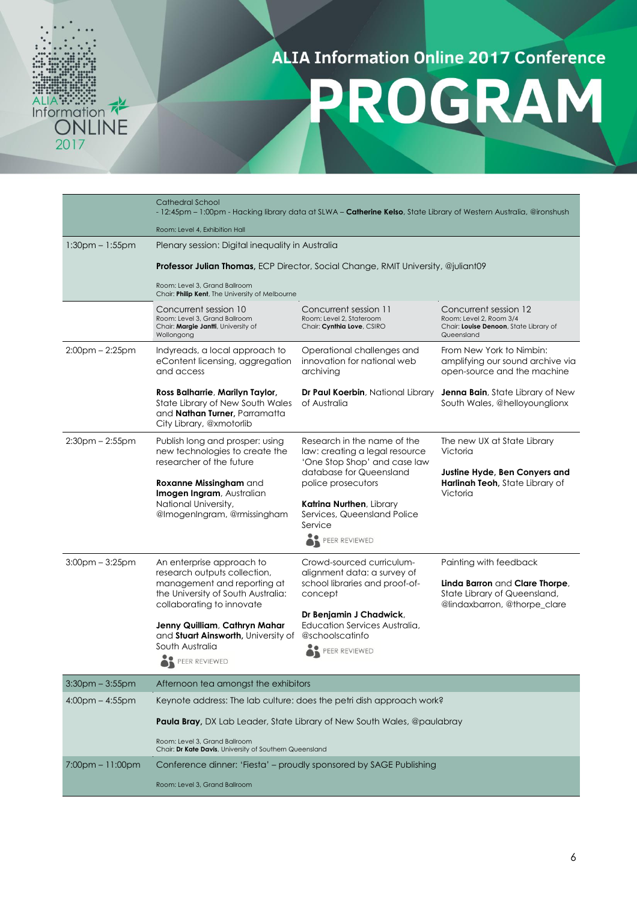# ALIA :::::::<br>Information<br>ONLINE<br>2017

#### **ALIA Information Online 2017 Conference**

PROGRAM

|                       | Cathedral School<br>- 12:45pm – 1:00pm - Hacking library data at SLWA – <b>Catherine Kelso</b> , State Library of Western Australia, @ironshush |                                                                                               |                                                                                                          |  |
|-----------------------|-------------------------------------------------------------------------------------------------------------------------------------------------|-----------------------------------------------------------------------------------------------|----------------------------------------------------------------------------------------------------------|--|
|                       | Room: Level 4, Exhibition Hall                                                                                                                  |                                                                                               |                                                                                                          |  |
| $1:30pm - 1:55pm$     | Plenary session: Digital inequality in Australia                                                                                                |                                                                                               |                                                                                                          |  |
|                       | <b>Professor Julian Thomas,</b> ECP Director, Social Change, RMIT University, @juliant09                                                        |                                                                                               |                                                                                                          |  |
|                       | Room: Level 3, Grand Ballroom<br>Chair: Philip Kent, The University of Melbourne                                                                |                                                                                               |                                                                                                          |  |
|                       | Concurrent session 10<br>Room: Level 3, Grand Ballroom<br>Chair: Margie Jantti, University of<br>Wollongong                                     | Concurrent session 11<br>Room: Level 2, Stateroom<br>Chair: Cynthia Love, CSIRO               | Concurrent session 12<br>Room: Level 2, Room 3/4<br>Chair: Louise Denoon, State Library of<br>Queensland |  |
| $2:00$ pm $- 2:25$ pm | Indyreads, a local approach to<br>eContent licensing, aggregation<br>and access                                                                 | Operational challenges and<br>innovation for national web<br>archiving                        | From New York to Nimbin:<br>amplifying our sound archive via<br>open-source and the machine              |  |
|                       | Ross Balharrie, Marilyn Taylor,<br>State Library of New South Wales<br>and <b>Nathan Turner</b> , Parramatta<br>City Library, @xmotorlib        | <b>Dr Paul Koerbin</b> , National Library<br>of Australia                                     | <b>Jenna Bain</b> , State Library of New<br>South Wales, @helloyounglionx                                |  |
| $2:30$ pm $- 2:55$ pm | Publish long and prosper: using<br>new technologies to create the<br>researcher of the future                                                   | Research in the name of the<br>law: creating a legal resource<br>'One Stop Shop' and case law | The new UX at State Library<br>Victoria                                                                  |  |
|                       |                                                                                                                                                 | database for Queensland                                                                       | Justine Hyde, Ben Conyers and                                                                            |  |
|                       | Roxanne Missingham and<br>Imogen Ingram, Australian                                                                                             | police prosecutors                                                                            | Harlinah Teoh, State Library of<br>Victoria                                                              |  |
|                       | National University,<br>@ImogenIngram, @rmissingham                                                                                             | <b>Katrina Nurthen</b> , Library<br>Services, Queensland Police                               |                                                                                                          |  |
|                       |                                                                                                                                                 | Service                                                                                       |                                                                                                          |  |
|                       |                                                                                                                                                 | PEER REVIEWED                                                                                 |                                                                                                          |  |
| $3:00$ pm $-3:25$ pm  | An enterprise approach to                                                                                                                       | Crowd-sourced curriculum-                                                                     | Painting with feedback                                                                                   |  |
|                       | research outputs collection,<br>management and reporting at                                                                                     | alignment data: a survey of<br>school libraries and proof-of-                                 | Linda Barron and Clare Thorpe,                                                                           |  |
|                       | the University of South Australia:<br>collaborating to innovate                                                                                 | concept                                                                                       | State Library of Queensland,<br>@lindaxbarron, @thorpe_clare                                             |  |
|                       |                                                                                                                                                 | Dr Benjamin J Chadwick,                                                                       |                                                                                                          |  |
|                       | Jenny Quilliam, Cathryn Mahar<br>and Stuart Ainsworth, University of                                                                            | Education Services Australia,<br>@schoolscatinfo                                              |                                                                                                          |  |
|                       | South Australia                                                                                                                                 | PEER REVIEWED                                                                                 |                                                                                                          |  |
|                       | PEER REVIEWED                                                                                                                                   |                                                                                               |                                                                                                          |  |
| $3:30$ pm $-3:55$ pm  | Afternoon tea amongst the exhibitors                                                                                                            |                                                                                               |                                                                                                          |  |
| $4:00$ pm $- 4:55$ pm | Keynote address: The lab culture: does the petri dish approach work?                                                                            |                                                                                               |                                                                                                          |  |
|                       | <b>Paula Bray,</b> DX Lab Leader, State Library of New South Wales, @paulabray                                                                  |                                                                                               |                                                                                                          |  |
|                       | Room: Level 3, Grand Ballroom<br>Chair: Dr Kate Davis, University of Southern Queensland                                                        |                                                                                               |                                                                                                          |  |
| 7:00pm - 11:00pm      | Conference dinner: 'Fiesta' – proudly sponsored by SAGE Publishing                                                                              |                                                                                               |                                                                                                          |  |
|                       | Room: Level 3, Grand Ballroom                                                                                                                   |                                                                                               |                                                                                                          |  |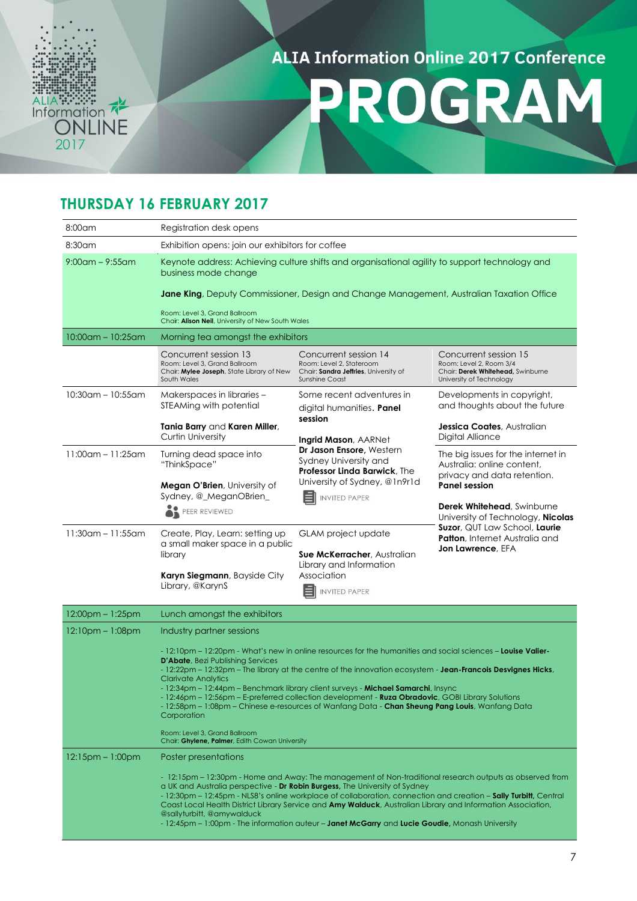

PROGRAM

#### **THURSDAY 16 FEBRUARY 2017**

| $8:00$ am               | Registration desk opens                                                                                                                                                                                                                                                                                                                                                                                                                                                                                                                                                                                                                                                                                                                             |                                                                                                                     |                                                                                                                                                                                                               |  |
|-------------------------|-----------------------------------------------------------------------------------------------------------------------------------------------------------------------------------------------------------------------------------------------------------------------------------------------------------------------------------------------------------------------------------------------------------------------------------------------------------------------------------------------------------------------------------------------------------------------------------------------------------------------------------------------------------------------------------------------------------------------------------------------------|---------------------------------------------------------------------------------------------------------------------|---------------------------------------------------------------------------------------------------------------------------------------------------------------------------------------------------------------|--|
| 8:30am                  | Exhibition opens: join our exhibitors for coffee                                                                                                                                                                                                                                                                                                                                                                                                                                                                                                                                                                                                                                                                                                    |                                                                                                                     |                                                                                                                                                                                                               |  |
| $9:00$ am – $9:55$ am   | Keynote address: Achieving culture shifts and organisational agility to support technology and<br>business mode change<br>Jane King, Deputy Commissioner, Design and Change Management, Australian Taxation Office                                                                                                                                                                                                                                                                                                                                                                                                                                                                                                                                  |                                                                                                                     |                                                                                                                                                                                                               |  |
|                         | Room: Level 3, Grand Ballroom<br>Chair: Alison Neil, University of New South Wales                                                                                                                                                                                                                                                                                                                                                                                                                                                                                                                                                                                                                                                                  |                                                                                                                     |                                                                                                                                                                                                               |  |
| 10:00am – 10:25am       | Morning tea amongst the exhibitors                                                                                                                                                                                                                                                                                                                                                                                                                                                                                                                                                                                                                                                                                                                  |                                                                                                                     |                                                                                                                                                                                                               |  |
|                         | Concurrent session 13<br>Room: Level 3, Grand Ballroom<br>Chair: Mylee Joseph, State Library of New<br>South Wales                                                                                                                                                                                                                                                                                                                                                                                                                                                                                                                                                                                                                                  | Concurrent session 14<br>Room: Level 2, Stateroom<br>Chair: Sandra Jeffries, University of<br><b>Sunshine Coast</b> | Concurrent session 15<br>Room: Level 2, Room 3/4<br>Chair: Derek Whitehead, Swinburne<br>University of Technology                                                                                             |  |
| $10:30$ am - $10:55$ am | Makerspaces in libraries -<br>STEAMing with potential                                                                                                                                                                                                                                                                                                                                                                                                                                                                                                                                                                                                                                                                                               | Some recent adventures in<br>digital humanities. Panel                                                              | Developments in copyright,<br>and thoughts about the future                                                                                                                                                   |  |
|                         | Tania Barry and Karen Miller,<br><b>Curtin University</b>                                                                                                                                                                                                                                                                                                                                                                                                                                                                                                                                                                                                                                                                                           | session<br><b>Ingrid Mason, AARNet</b>                                                                              | <b>Jessica Coates</b> , Australian<br>Digital Alliance                                                                                                                                                        |  |
| $11:00$ am - 11:25am    | Turning dead space into<br>"ThinkSpace"                                                                                                                                                                                                                                                                                                                                                                                                                                                                                                                                                                                                                                                                                                             | Dr Jason Ensore, Western<br>Sydney University and<br><b>Professor Linda Barwick, The</b>                            | The big issues for the internet in<br>Australia: online content.<br>privacy and data retention.                                                                                                               |  |
|                         | <b>Megan O'Brien</b> , University of<br>Sydney, @_MeganOBrien_<br><b>INVITED PAPER</b><br>PEER REVIEWED                                                                                                                                                                                                                                                                                                                                                                                                                                                                                                                                                                                                                                             | University of Sydney, @1n9r1d                                                                                       | <b>Panel session</b><br><b>Derek Whitehead, Swinburne</b><br>University of Technology, <b>Nicolas</b><br><b>Suzor</b> , QUT Law School, Laurie<br><b>Patton</b> , Internet Australia and<br>Jon Lawrence, EFA |  |
| $11:30$ am - 11:55am    | Create, Play, Learn: setting up<br>GLAM project update<br>a small maker space in a public<br>library<br><b>Sue McKerracher</b> , Australian                                                                                                                                                                                                                                                                                                                                                                                                                                                                                                                                                                                                         | Library and Information                                                                                             |                                                                                                                                                                                                               |  |
|                         | Karyn Siegmann, Bayside City<br>Library, @KarynS                                                                                                                                                                                                                                                                                                                                                                                                                                                                                                                                                                                                                                                                                                    | Association<br><b>INVITED PAPER</b>                                                                                 |                                                                                                                                                                                                               |  |
| $12:00$ pm – 1:25pm     | Lunch amongst the exhibitors                                                                                                                                                                                                                                                                                                                                                                                                                                                                                                                                                                                                                                                                                                                        |                                                                                                                     |                                                                                                                                                                                                               |  |
| $12:10$ pm – $1:08$ pm  | Industry partner sessions<br>- 12:10pm – 12:20pm - What's new in online resources for the humanities and social sciences – Louise Valier-<br><b>D'Abate</b> , Bezi Publishing Services<br>- 12:22pm – 12:32pm – The library at the centre of the innovation ecosystem - Jean-Francois Desvignes Hicks,<br><b>Clarivate Analytics</b><br>- 12:34pm – 12:44pm – Benchmark library client surveys - Michael Samarchi, Insync<br>- 12:46pm – 12:56pm – E-preferred collection development - <b>Ruza Obradovic</b> , GOBI Library Solutions<br>- 12:58pm – 1:08pm – Chinese e-resources of Wanfang Data - <b>Chan Sheung Pang Louis</b> , Wanfang Data<br>Corporation<br>Room: Level 3, Grand Ballroom<br>Chair: Ghylene, Palmer, Edith Cowan University |                                                                                                                     |                                                                                                                                                                                                               |  |
| $12:15$ pm – $1:00$ pm  | Poster presentations<br>- 12:15pm – 12:30pm - Home and Away: The management of Non-traditional research outputs as observed from<br>a UK and Australia perspective - Dr Robin Burgess, The University of Sydney<br>- 12:30pm – 12:45pm - NLS8's online workplace of collaboration, connection and creation – Sally Turbitt, Central<br>Coast Local Health District Library Service and Amy Walduck, Australian Library and Information Association,<br>@sallyturbitt, @amywalduck<br>- 12:45pm – 1:00pm - The information auteur – Janet McGarry and Lucie Goudie, Monash University                                                                                                                                                                |                                                                                                                     |                                                                                                                                                                                                               |  |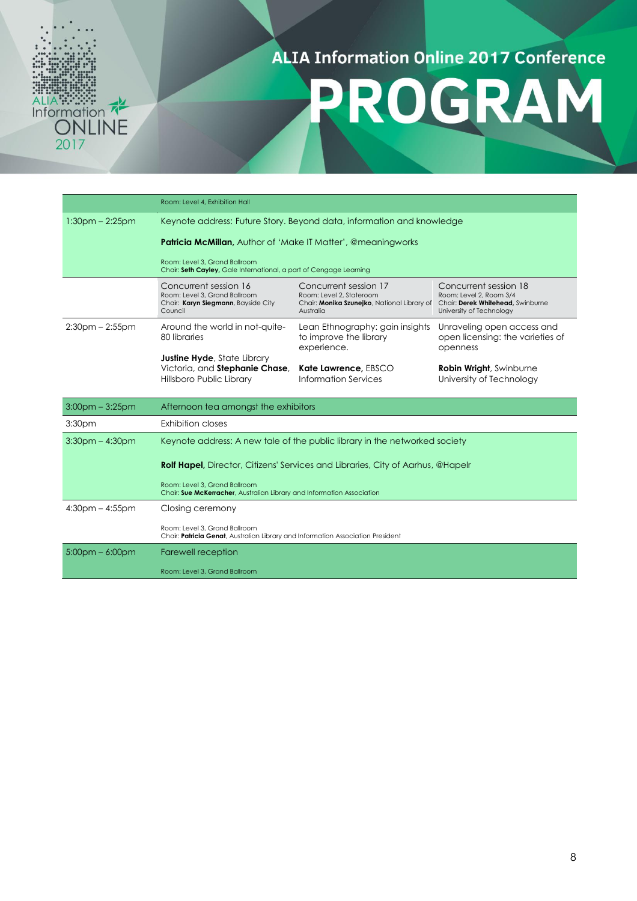# ALIA :::::::<br>Information<br>ONLINE<br>2017

#### **ALIA Information Online 2017 Conference**

## PROGRAM

|                       | Room: Level 4, Exhibition Hall                                                                                   |                                                                                                                                                 |                                                                              |  |
|-----------------------|------------------------------------------------------------------------------------------------------------------|-------------------------------------------------------------------------------------------------------------------------------------------------|------------------------------------------------------------------------------|--|
| $1:30pm - 2:25pm$     | Keynote address: Future Story. Beyond data, information and knowledge                                            |                                                                                                                                                 |                                                                              |  |
|                       | <b>Patricia McMillan, Author of 'Make IT Matter', @meaningworks</b>                                              |                                                                                                                                                 |                                                                              |  |
|                       | Room: Level 3, Grand Ballroom<br>Chair: Seth Cayley, Gale International, a part of Cengage Learning              |                                                                                                                                                 |                                                                              |  |
|                       | Concurrent session 16<br>Room: Level 3, Grand Ballroom<br>Chair: Karyn Siegmann, Bayside City<br>Council         | Concurrent session 17<br>Room: Level 2, Stateroom<br>Chair: Monika Szunejko, National Library of Chair: Derek Whitehead, Swinburne<br>Australia | Concurrent session 18<br>Room: Level 2, Room 3/4<br>University of Technology |  |
| $2:30$ pm – $2:55$ pm | Around the world in not-quite-<br>80 libraries                                                                   | Lean Ethnography: gain insights<br>to improve the library<br>experience.                                                                        | Unraveling open access and<br>open licensing: the varieties of<br>openness   |  |
|                       | <b>Justine Hyde, State Library</b><br>Victoria, and Stephanie Chase,<br>Hillsboro Public Library                 | Kate Lawrence, EBSCO<br>Information Services                                                                                                    | <b>Robin Wright, Swinburne</b><br>University of Technology                   |  |
| $3:00$ pm – $3:25$ pm | Afternoon tea amongst the exhibitors                                                                             |                                                                                                                                                 |                                                                              |  |
| 3:30 <sub>pm</sub>    | Exhibition closes                                                                                                |                                                                                                                                                 |                                                                              |  |
| $3:30$ pm $-4:30$ pm  | Keynote address: A new tale of the public library in the networked society                                       |                                                                                                                                                 |                                                                              |  |
|                       | <b>Rolf Hapel,</b> Director, Citizens' Services and Libraries, City of Aarhus, @Hapelr                           |                                                                                                                                                 |                                                                              |  |
|                       | Room: Level 3, Grand Ballroom<br>Chair: Sue McKerracher, Australian Library and Information Association          |                                                                                                                                                 |                                                                              |  |
| $4:30$ pm $- 4:55$ pm | Closing ceremony                                                                                                 |                                                                                                                                                 |                                                                              |  |
|                       | Room: Level 3, Grand Ballroom<br>Chair: Patricia Genat, Australian Library and Information Association President |                                                                                                                                                 |                                                                              |  |
| $5:00$ pm – 6:00pm    | Farewell reception                                                                                               |                                                                                                                                                 |                                                                              |  |
|                       | Room: Level 3, Grand Ballroom                                                                                    |                                                                                                                                                 |                                                                              |  |